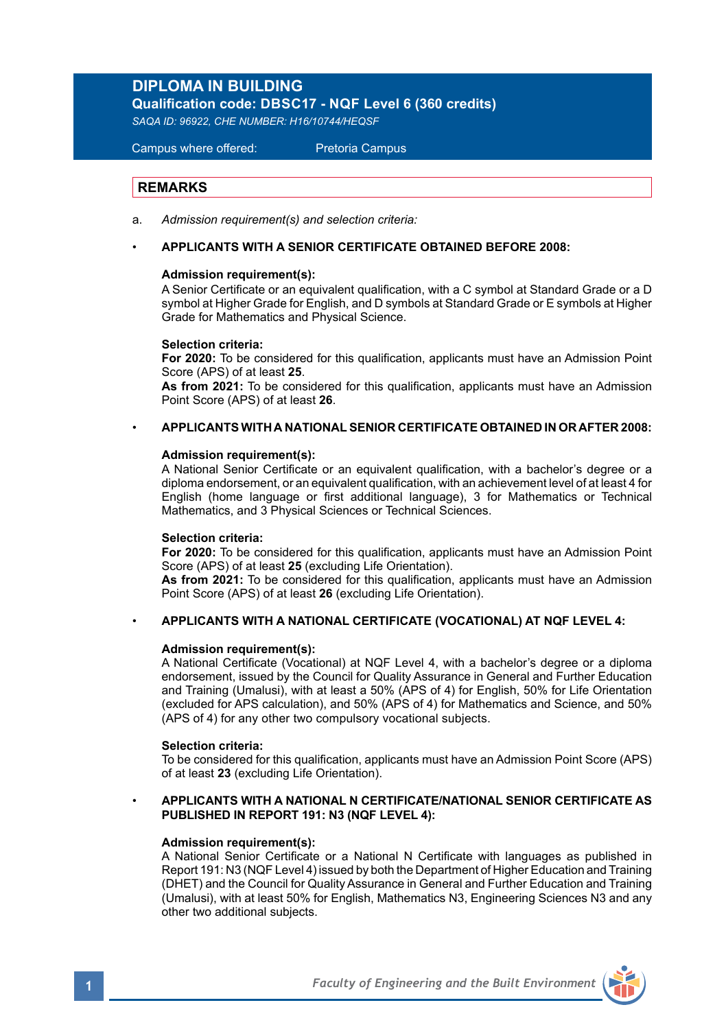# **DIPLOMA IN BUILDING**

**Qualification code: DBSC17 - NQF Level 6 (360 credits)**

*SAQA ID: 96922, CHE NUMBER: H16/10744/HEQSF*

Campus where offered: Pretoria Campus

## **REMARKS**

- a. *Admission requirement(s) and selection criteria:*
- **APPLICANTS WITH A SENIOR CERTIFICATE OBTAINED BEFORE 2008:**

### **Admission requirement(s):**

A Senior Certificate or an equivalent qualification, with a C symbol at Standard Grade or a D symbol at Higher Grade for English, and D symbols at Standard Grade or E symbols at Higher Grade for Mathematics and Physical Science.

### **Selection criteria:**

**For 2020:** To be considered for this qualification, applicants must have an Admission Point Score (APS) of at least **25**.

**As from 2021:** To be considered for this qualification, applicants must have an Admission Point Score (APS) of at least **26**.

## • **APPLICANTS WITH A NATIONAL SENIOR CERTIFICATE OBTAINED IN OR AFTER 2008:**

### **Admission requirement(s):**

A National Senior Certificate or an equivalent qualification, with a bachelor's degree or a diploma endorsement, or an equivalent qualification, with an achievement level of at least 4 for English (home language or first additional language), 3 for Mathematics or Technical Mathematics, and 3 Physical Sciences or Technical Sciences.

### **Selection criteria:**

**For 2020:** To be considered for this qualification, applicants must have an Admission Point Score (APS) of at least **25** (excluding Life Orientation).

**As from 2021:** To be considered for this qualification, applicants must have an Admission Point Score (APS) of at least **26** (excluding Life Orientation).

### • **APPLICANTS WITH A NATIONAL CERTIFICATE (VOCATIONAL) AT NQF LEVEL 4:**

### **Admission requirement(s):**

A National Certificate (Vocational) at NQF Level 4, with a bachelor's degree or a diploma endorsement, issued by the Council for Quality Assurance in General and Further Education and Training (Umalusi), with at least a 50% (APS of 4) for English, 50% for Life Orientation (excluded for APS calculation), and 50% (APS of 4) for Mathematics and Science, and 50% (APS of 4) for any other two compulsory vocational subjects.

### **Selection criteria:**

To be considered for this qualification, applicants must have an Admission Point Score (APS) of at least **23** (excluding Life Orientation).

### • **APPLICANTS WITH A NATIONAL N CERTIFICATE/NATIONAL SENIOR CERTIFICATE AS PUBLISHED IN REPORT 191: N3 (NQF LEVEL 4):**

## **Admission requirement(s):**

A National Senior Certificate or a National N Certificate with languages as published in Report 191: N3 (NQF Level 4) issued by both the Department of Higher Education and Training (DHET) and the Council for Quality Assurance in General and Further Education and Training (Umalusi), with at least 50% for English, Mathematics N3, Engineering Sciences N3 and any other two additional subjects.

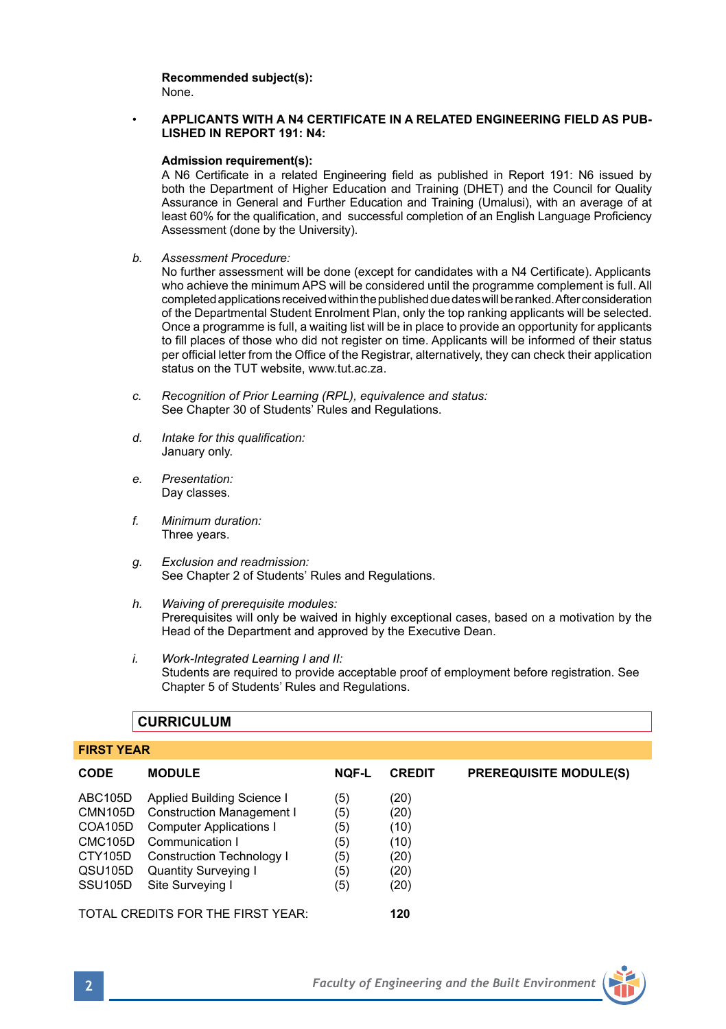**Recommended subject(s):** None.

### • **APPLICANTS WITH A N4 CERTIFICATE IN A RELATED ENGINEERING FIELD AS PUB-LISHED IN REPORT 191: N4:**

### **Admission requirement(s):**

A N6 Certificate in a related Engineering field as published in Report 191: N6 issued by both the Department of Higher Education and Training (DHET) and the Council for Quality Assurance in General and Further Education and Training (Umalusi), with an average of at least 60% for the qualification, and successful completion of an English Language Proficiency Assessment (done by the University).

*b. Assessment Procedure:*

No further assessment will be done (except for candidates with a N4 Certificate). Applicants who achieve the minimum APS will be considered until the programme complement is full. All completed applications received within the published due dates will be ranked. After consideration of the Departmental Student Enrolment Plan, only the top ranking applicants will be selected. Once a programme is full, a waiting list will be in place to provide an opportunity for applicants to fill places of those who did not register on time. Applicants will be informed of their status per official letter from the Office of the Registrar, alternatively, they can check their application status on the TUT website, www.tut.ac.za.

- *c. Recognition of Prior Learning (RPL), equivalence and status:* See Chapter 30 of Students' Rules and Regulations.
- *d. Intake for this qualification:* January only.
- *e. Presentation:*  Day classes.
- *f. Minimum duration:* Three years.
- *g. Exclusion and readmission:* See Chapter 2 of Students' Rules and Regulations.
- *h. Waiving of prerequisite modules:* Prerequisites will only be waived in highly exceptional cases, based on a motivation by the Head of the Department and approved by the Executive Dean.
- *i. Work-Integrated Learning I and II:*  Students are required to provide acceptable proof of employment before registration. See Chapter 5 of Students' Rules and Regulations.

# **CURRICULUM**

### **FIRST YEAR**

| <b>CODE</b>                                                                                         | <b>MODULE</b>                                                                                                                                                                                       | <b>NQF-L</b>                                  | <b>CREDIT</b>                                        | <b>PREREQUISITE MODULE(S)</b> |
|-----------------------------------------------------------------------------------------------------|-----------------------------------------------------------------------------------------------------------------------------------------------------------------------------------------------------|-----------------------------------------------|------------------------------------------------------|-------------------------------|
| ABC105D<br>CMN105D<br>COA105D<br>CMC <sub>105</sub> D<br>CTY105D<br>QSU105D<br>SSU <sub>105</sub> D | Applied Building Science I<br><b>Construction Management I</b><br><b>Computer Applications I</b><br>Communication I<br>Construction Technology I<br><b>Quantity Surveying I</b><br>Site Surveving I | (5)<br>(5)<br>(5)<br>(5)<br>(5)<br>(5)<br>(5) | (20)<br>(20)<br>(10)<br>(10)<br>(20)<br>(20)<br>(20) |                               |
|                                                                                                     | TOTAL CREDITS FOR THE FIRST YEAR:                                                                                                                                                                   | 120                                           |                                                      |                               |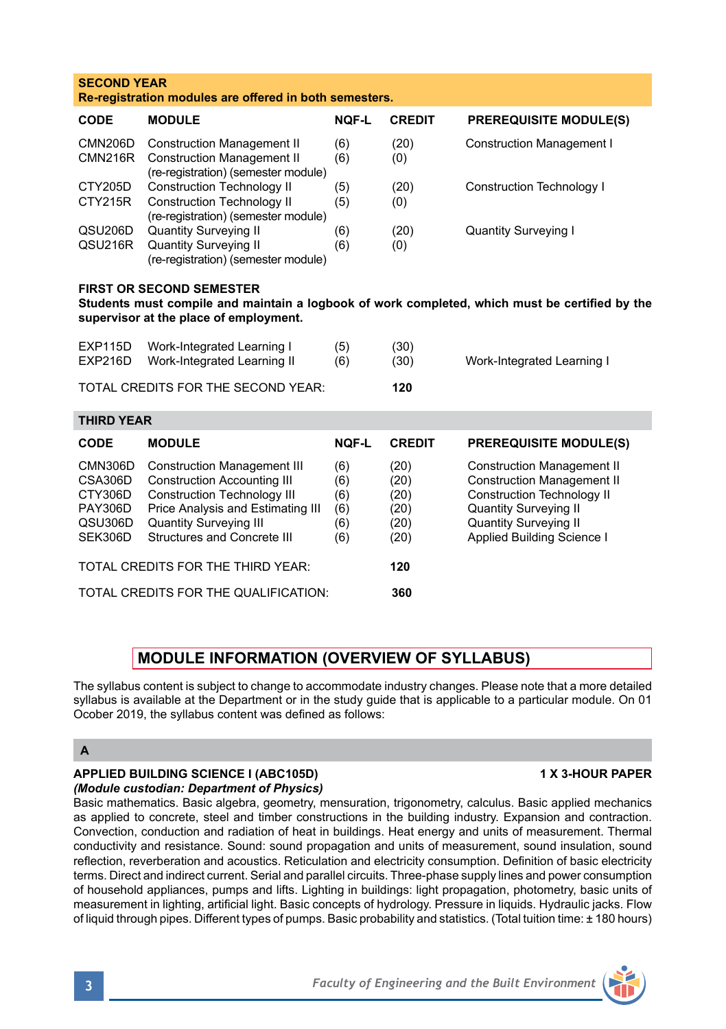| <b>SECOND YEAR</b><br>Re-registration modules are offered in both semesters.                                                                                                |                                                                                                                                                                                                                     |                                        |                                              |                                                                                                                                                                                                           |  |  |  |  |
|-----------------------------------------------------------------------------------------------------------------------------------------------------------------------------|---------------------------------------------------------------------------------------------------------------------------------------------------------------------------------------------------------------------|----------------------------------------|----------------------------------------------|-----------------------------------------------------------------------------------------------------------------------------------------------------------------------------------------------------------|--|--|--|--|
| CODE                                                                                                                                                                        | <b>MODULE</b>                                                                                                                                                                                                       | <b>NOF-L</b>                           | <b>CREDIT</b>                                | <b>PREREQUISITE MODULE(S)</b>                                                                                                                                                                             |  |  |  |  |
| <b>CMN206D</b><br><b>CMN216R</b>                                                                                                                                            | <b>Construction Management II</b><br><b>Construction Management II</b><br>(re-registration) (semester module)                                                                                                       | (6)<br>(6)                             | (20)<br>(0)                                  | <b>Construction Management I</b>                                                                                                                                                                          |  |  |  |  |
| CTY205D<br>CTY215R                                                                                                                                                          | <b>Construction Technology II</b><br><b>Construction Technology II</b><br>(re-registration) (semester module)                                                                                                       | (5)<br>(5)                             | (20)<br>(0)                                  | <b>Construction Technology I</b>                                                                                                                                                                          |  |  |  |  |
| QSU206D<br>QSU216R                                                                                                                                                          | <b>Quantity Surveying II</b><br><b>Quantity Surveying II</b><br>(re-registration) (semester module)                                                                                                                 | (6)<br>(6)                             | (20)<br>(0)                                  | <b>Quantity Surveying I</b>                                                                                                                                                                               |  |  |  |  |
| <b>FIRST OR SECOND SEMESTER</b><br>Students must compile and maintain a logbook of work completed, which must be certified by the<br>supervisor at the place of employment. |                                                                                                                                                                                                                     |                                        |                                              |                                                                                                                                                                                                           |  |  |  |  |
| <b>EXP115D</b><br><b>EXP216D</b>                                                                                                                                            | Work-Integrated Learning I<br>Work-Integrated Learning II                                                                                                                                                           | (5)<br>(6)                             | (30)<br>(30)                                 | Work-Integrated Learning I                                                                                                                                                                                |  |  |  |  |
| TOTAL CREDITS FOR THE SECOND YEAR:<br>120                                                                                                                                   |                                                                                                                                                                                                                     |                                        |                                              |                                                                                                                                                                                                           |  |  |  |  |
| <b>THIRD YEAR</b>                                                                                                                                                           |                                                                                                                                                                                                                     |                                        |                                              |                                                                                                                                                                                                           |  |  |  |  |
| CODE                                                                                                                                                                        | <b>MODULE</b>                                                                                                                                                                                                       | <b>NOF-L</b>                           | <b>CREDIT</b>                                | <b>PREREQUISITE MODULE(S)</b>                                                                                                                                                                             |  |  |  |  |
| <b>CMN306D</b><br>CSA306D<br>CTY306D<br><b>PAY306D</b><br>QSU306D<br>SEK306D                                                                                                | <b>Construction Management III</b><br><b>Construction Accounting III</b><br><b>Construction Technology III</b><br>Price Analysis and Estimating III<br><b>Quantity Surveying III</b><br>Structures and Concrete III | (6)<br>(6)<br>(6)<br>(6)<br>(6)<br>(6) | (20)<br>(20)<br>(20)<br>(20)<br>(20)<br>(20) | <b>Construction Management II</b><br><b>Construction Management II</b><br><b>Construction Technology II</b><br><b>Quantity Surveying II</b><br><b>Quantity Surveying II</b><br>Applied Building Science I |  |  |  |  |
|                                                                                                                                                                             | TOTAL CREDITS FOR THE THIRD YEAR:                                                                                                                                                                                   | 120                                    |                                              |                                                                                                                                                                                                           |  |  |  |  |
|                                                                                                                                                                             | TOTAL CREDITS FOR THE QUALIFICATION:                                                                                                                                                                                | 360                                    |                                              |                                                                                                                                                                                                           |  |  |  |  |

# **MODULE INFORMATION (OVERVIEW OF SYLLABUS)**

The syllabus content is subject to change to accommodate industry changes. Please note that a more detailed syllabus is available at the Department or in the study guide that is applicable to a particular module. On 01 Ocober 2019, the syllabus content was defined as follows:

# **A**

## **APPLIED BUILDING SCIENCE I (ABC105D) 1 X 3-HOUR PAPER** *(Module custodian: Department of Physics)*

Basic mathematics. Basic algebra, geometry, mensuration, trigonometry, calculus. Basic applied mechanics as applied to concrete, steel and timber constructions in the building industry. Expansion and contraction. Convection, conduction and radiation of heat in buildings. Heat energy and units of measurement. Thermal conductivity and resistance. Sound: sound propagation and units of measurement, sound insulation, sound reflection, reverberation and acoustics. Reticulation and electricity consumption. Definition of basic electricity terms. Direct and indirect current. Serial and parallel circuits. Three-phase supply lines and power consumption of household appliances, pumps and lifts. Lighting in buildings: light propagation, photometry, basic units of measurement in lighting, artificial light. Basic concepts of hydrology. Pressure in liquids. Hydraulic jacks. Flow of liquid through pipes. Different types of pumps. Basic probability and statistics. (Total tuition time: ± 180 hours)

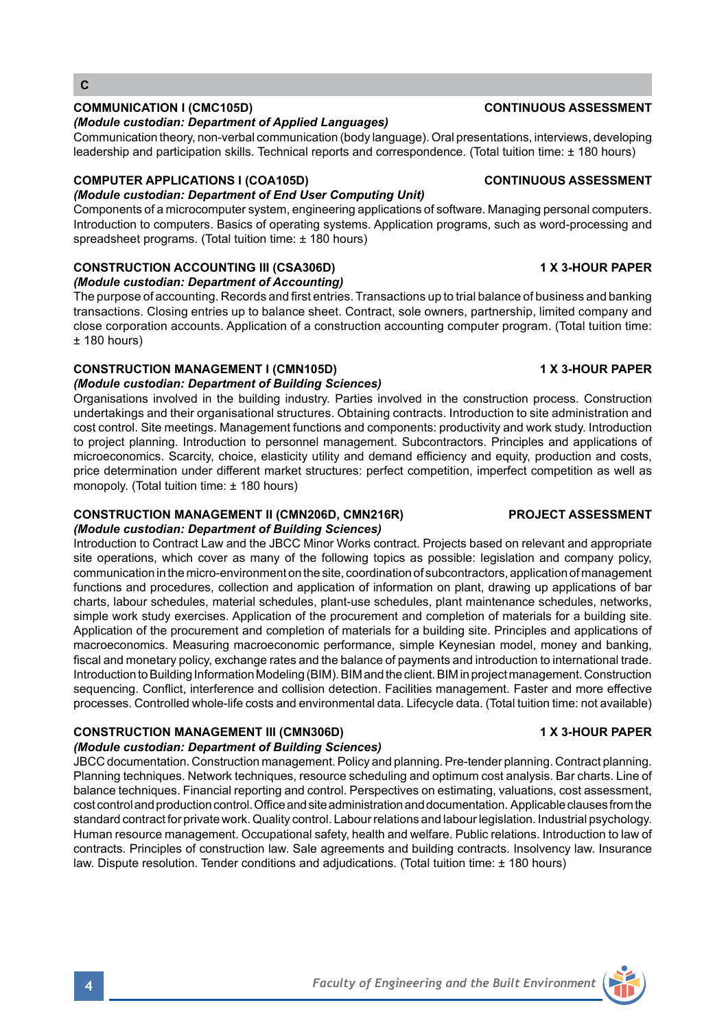# **C**

## **COMMUNICATION I (CMC105D) CONTINUOUS ASSESSMENT**

### *(Module custodian: Department of Applied Languages)*

Communication theory, non-verbal communication (body language). Oral presentations, interviews, developing leadership and participation skills. Technical reports and correspondence. (Total tuition time: ± 180 hours)

## **COMPUTER APPLICATIONS I (COA105D) CONTINUOUS ASSESSMENT**

## *(Module custodian: Department of End User Computing Unit)*

Components of a microcomputer system, engineering applications of software. Managing personal computers. Introduction to computers. Basics of operating systems. Application programs, such as word-processing and spreadsheet programs. (Total tuition time: ± 180 hours)

## **CONSTRUCTION ACCOUNTING III (CSA306D) 1 X 3-HOUR PAPER**

*(Module custodian: Department of Accounting)*

The purpose of accounting. Records and first entries. Transactions up to trial balance of business and banking transactions. Closing entries up to balance sheet. Contract, sole owners, partnership, limited company and close corporation accounts. Application of a construction accounting computer program. (Total tuition time:  $±$  180 hours)

## **CONSTRUCTION MANAGEMENT I (CMN105D) 1 X 3-HOUR PAPER**

## *(Module custodian: Department of Building Sciences)*

Organisations involved in the building industry. Parties involved in the construction process. Construction undertakings and their organisational structures. Obtaining contracts. Introduction to site administration and cost control. Site meetings. Management functions and components: productivity and work study. Introduction to project planning. Introduction to personnel management. Subcontractors. Principles and applications of microeconomics. Scarcity, choice, elasticity utility and demand efficiency and equity, production and costs, price determination under different market structures: perfect competition, imperfect competition as well as monopoly. (Total tuition time: ± 180 hours)

### **CONSTRUCTION MANAGEMENT II (CMN206D, CMN216R) PROJECT ASSESSMENT** *(Module custodian: Department of Building Sciences)*

Introduction to Contract Law and the JBCC Minor Works contract. Projects based on relevant and appropriate site operations, which cover as many of the following topics as possible: legislation and company policy, communication in the micro-environment on the site, coordination of subcontractors, application of management functions and procedures, collection and application of information on plant, drawing up applications of bar charts, labour schedules, material schedules, plant-use schedules, plant maintenance schedules, networks, simple work study exercises. Application of the procurement and completion of materials for a building site. Application of the procurement and completion of materials for a building site. Principles and applications of macroeconomics. Measuring macroeconomic performance, simple Keynesian model, money and banking, fiscal and monetary policy, exchange rates and the balance of payments and introduction to international trade. Introduction to Building Information Modeling (BIM). BIM and the client. BIM in project management. Construction sequencing. Conflict, interference and collision detection. Facilities management. Faster and more effective processes. Controlled whole-life costs and environmental data. Lifecycle data. (Total tuition time: not available)

## **CONSTRUCTION MANAGEMENT III (CMN306D) 1 X 3-HOUR PAPER**

## *(Module custodian: Department of Building Sciences)*

JBCC documentation. Construction management. Policy and planning. Pre-tender planning. Contract planning. Planning techniques. Network techniques, resource scheduling and optimum cost analysis. Bar charts. Line of balance techniques. Financial reporting and control. Perspectives on estimating, valuations, cost assessment, cost control and production control. Office and site administration and documentation. Applicable clauses from the standard contract for private work. Quality control. Labour relations and labour legislation. Industrial psychology. Human resource management. Occupational safety, health and welfare. Public relations. Introduction to law of contracts. Principles of construction law. Sale agreements and building contracts. Insolvency law. Insurance law. Dispute resolution. Tender conditions and adjudications. (Total tuition time: ± 180 hours)

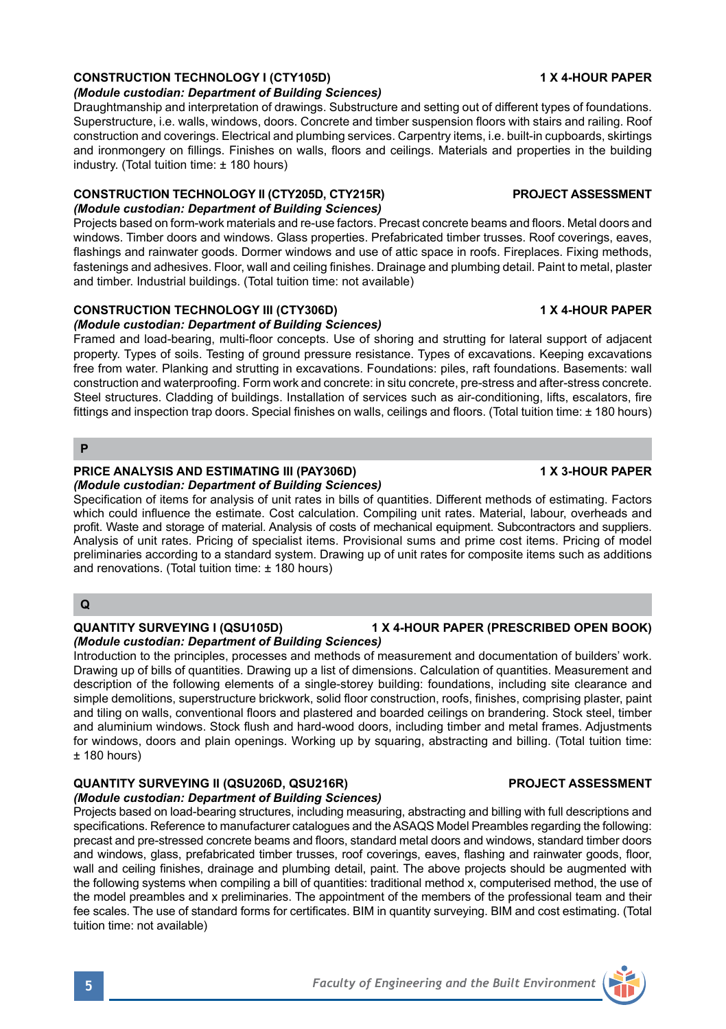## **CONSTRUCTION TECHNOLOGY I (CTY105D) 1 X 4-HOUR PAPER**

### *(Module custodian: Department of Building Sciences)*

Draughtmanship and interpretation of drawings. Substructure and setting out of different types of foundations. Superstructure, i.e. walls, windows, doors. Concrete and timber suspension floors with stairs and railing. Roof construction and coverings. Electrical and plumbing services. Carpentry items, i.e. built-in cupboards, skirtings and ironmongery on fillings. Finishes on walls, floors and ceilings. Materials and properties in the building industry. (Total tuition time: ± 180 hours)

### **CONSTRUCTION TECHNOLOGY II (CTY205D, CTY215R) PROJECT ASSESSMENT** *(Module custodian: Department of Building Sciences)*

Projects based on form-work materials and re-use factors. Precast concrete beams and floors. Metal doors and windows. Timber doors and windows. Glass properties. Prefabricated timber trusses. Roof coverings, eaves, flashings and rainwater goods. Dormer windows and use of attic space in roofs. Fireplaces. Fixing methods, fastenings and adhesives. Floor, wall and ceiling finishes. Drainage and plumbing detail. Paint to metal, plaster and timber. Industrial buildings. (Total tuition time: not available)

## **CONSTRUCTION TECHNOLOGY III (CTY306D) 1 X 4-HOUR PAPER**

## *(Module custodian: Department of Building Sciences)*

Framed and load-bearing, multi-floor concepts. Use of shoring and strutting for lateral support of adjacent property. Types of soils. Testing of ground pressure resistance. Types of excavations. Keeping excavations free from water. Planking and strutting in excavations. Foundations: piles, raft foundations. Basements: wall construction and waterproofing. Form work and concrete: in situ concrete, pre-stress and after-stress concrete. Steel structures. Cladding of buildings. Installation of services such as air-conditioning, lifts, escalators, fire fittings and inspection trap doors. Special finishes on walls, ceilings and floors. (Total tuition time: ± 180 hours)

## **P**

### **PRICE ANALYSIS AND ESTIMATING III (PAY306D) 1 X 3-HOUR PAPER** *(Module custodian: Department of Building Sciences)*

Specification of items for analysis of unit rates in bills of quantities. Different methods of estimating. Factors which could influence the estimate. Cost calculation. Compiling unit rates. Material, labour, overheads and profit. Waste and storage of material. Analysis of costs of mechanical equipment. Subcontractors and suppliers. Analysis of unit rates. Pricing of specialist items. Provisional sums and prime cost items. Pricing of model preliminaries according to a standard system. Drawing up of unit rates for composite items such as additions and renovations. (Total tuition time: ± 180 hours)

## **Q**

## **QUANTITY SURVEYING I (QSU105D) 1 X 4-HOUR PAPER (PRESCRIBED OPEN BOOK)** *(Module custodian: Department of Building Sciences)*

Introduction to the principles, processes and methods of measurement and documentation of builders' work. Drawing up of bills of quantities. Drawing up a list of dimensions. Calculation of quantities. Measurement and description of the following elements of a single-storey building: foundations, including site clearance and simple demolitions, superstructure brickwork, solid floor construction, roofs, finishes, comprising plaster, paint and tiling on walls, conventional floors and plastered and boarded ceilings on brandering. Stock steel, timber and aluminium windows. Stock flush and hard-wood doors, including timber and metal frames. Adjustments for windows, doors and plain openings. Working up by squaring, abstracting and billing. (Total tuition time: ± 180 hours)

## **QUANTITY SURVEYING II (QSU206D, QSU216R) PROJECT ASSESSMENT**

## *(Module custodian: Department of Building Sciences)*

Projects based on load-bearing structures, including measuring, abstracting and billing with full descriptions and specifications. Reference to manufacturer catalogues and the ASAQS Model Preambles regarding the following: precast and pre-stressed concrete beams and floors, standard metal doors and windows, standard timber doors and windows, glass, prefabricated timber trusses, roof coverings, eaves, flashing and rainwater goods, floor, wall and ceiling finishes, drainage and plumbing detail, paint. The above projects should be augmented with the following systems when compiling a bill of quantities: traditional method x, computerised method, the use of the model preambles and x preliminaries. The appointment of the members of the professional team and their fee scales. The use of standard forms for certificates. BIM in quantity surveying. BIM and cost estimating. (Total tuition time: not available)